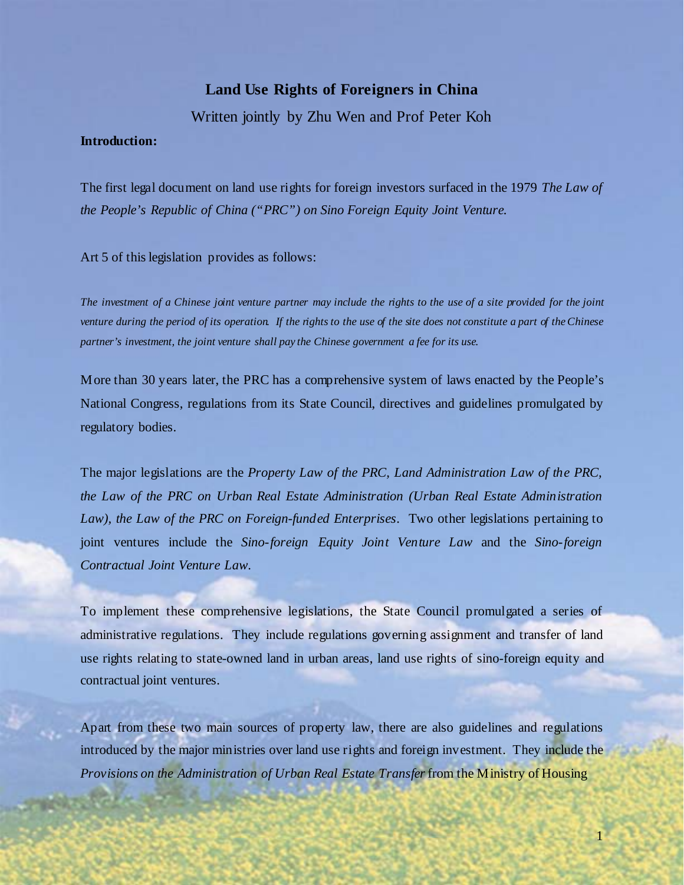# **Land Use Rights of Foreigners in China**

Written jointly by Zhu Wen and Prof Peter Koh

### **Introduction:**

The first legal document on land use rights for foreign investors surfaced in the 1979 *The Law of the People's Republic of China ("PRC") on Sino Foreign Equity Joint Venture.* 

Art 5 of this legislation provides as follows:

*The investment of a Chinese joint venture partner may include the rights to the use of a site provided for the joint venture during the period of its operation. If the rights to the use of the site does not constitute a part of the Chinese partner's investment, the joint venture shall pay the Chinese government a fee for its use.* 

More than 30 years later, the PRC has a comprehensive system of laws enacted by the People's National Congress, regulations from its State Council, directives and guidelines promulgated by regulatory bodies.

The major legislations are the *Property Law of the PRC, Land Administration Law of the PRC, the Law of the PRC on Urban Real Estate Administration (Urban Real Estate Administration Law), the Law of the PRC on Foreign-funded Enterprises*. Two other legislations pertaining to joint ventures include the *Sino-foreign Equity Joint Venture Law* and the *Sino-foreign Contractual Joint Venture Law*.

To implement these comprehensive legislations, the State Council promulgated a series of administrative regulations. They include regulations governing assignment and transfer of land use rights relating to state-owned land in urban areas, land use rights of sino-foreign equity and contractual joint ventures.

Apart from these two main sources of property law, there are also guidelines and regulations introduced by the major ministries over land use rights and foreign investment. They include the *Provisions on the Administration of Urban Real Estate Transfer* from the Ministry of Housing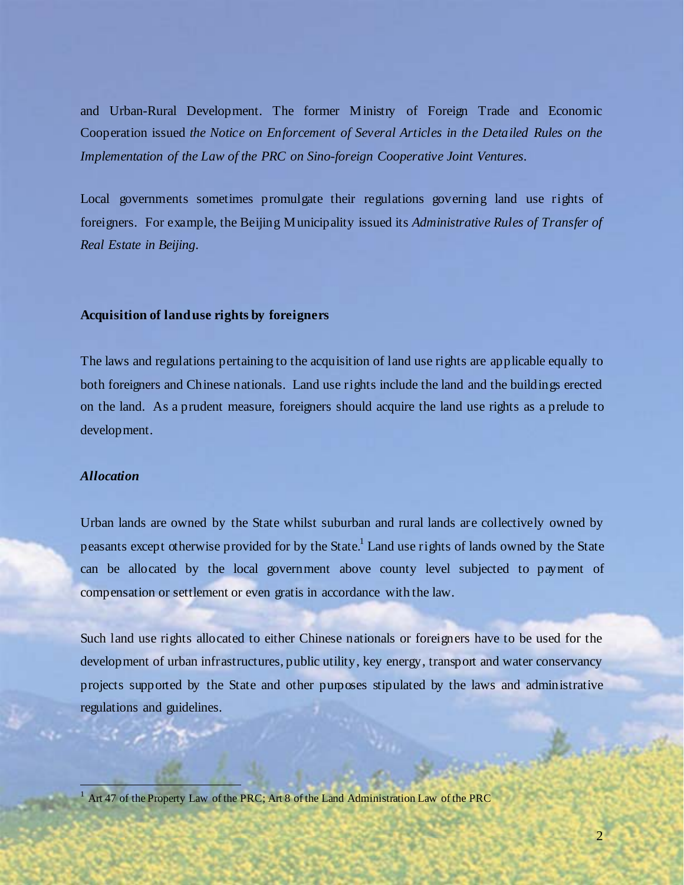and Urban-Rural Development. The former Ministry of Foreign Trade and Economic Cooperation issued *the Notice on Enforcement of Several Articles in the Detailed Rules on the Implementation of the Law of the PRC on Sino-foreign Cooperative Joint Ventures.*

Local governments sometimes promulgate their regulations governing land use rights of foreigners. For example, the Beijing Municipality issued its *Administrative Rules of Transfer of Real Estate in Beijing*.

### **Acquisition of land use rights by foreigners**

The laws and regulations pertaining to the acquisition of land use rights are applicable equally to both foreigners and Chinese nationals. Land use rights include the land and the buildings erected on the land. As a prudent measure, foreigners should acquire the land use rights as a prelude to development.

### *Allocation*

 $\overline{a}$ 

Urban lands are owned by the State whilst suburban and rural lands are collectively owned by peasants except otherwise provided for by the State.<sup>1</sup> Land use rights of lands owned by the State can be allocated by the local government above county level subjected to payment of compensation or settlement or even gratis in accordance with the law.

Such land use rights allocated to either Chinese nationals or foreigners have to be used for the development of urban infrastructures, public utility, key energy, transport and water conservancy projects supported by the State and other purposes stipulated by the laws and administrative regulations and guidelines.

<sup>1</sup> Art 47 of the Property Law of the PRC; Art 8 of the Land Administration Law of the PRC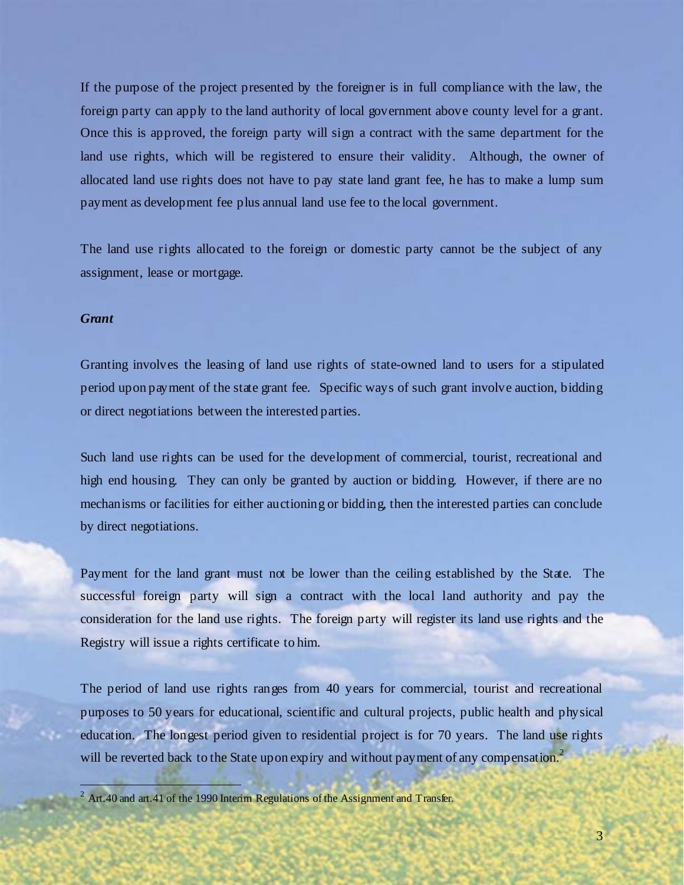If the purpose of the project presented by the foreigner is in full compliance with the law, the foreign party can apply to the land authority of local government above county level for a grant. Once this is approved, the foreign party will sign a contract with the same department for the land use rights, which will be registered to ensure their validity. Although, the owner of allocated land use rights does not have to pay state land grant fee, he has to make a lump sum payment as development fee plus annual land use fee to the local government.

The land use rights allocated to the foreign or domestic party cannot be the subject of any assignment, lease or mortgage.

### *Grant*

l

Granting involves the leasing of land use rights of state-owned land to users for a stipulated period upon payment of the state grant fee. Specific ways of such grant involve auction, bidding or direct negotiations between the interested parties.

Such land use rights can be used for the development of commercial, tourist, recreational and high end housing. They can only be granted by auction or bidding. However, if there are no mechanisms or facilities for either auctioning or bidding, then the interested parties can conclude by direct negotiations.

Payment for the land grant must not be lower than the ceiling established by the State. The successful foreign party will sign a contract with the local land authority and pay the consideration for the land use rights. The foreign party will register its land use rights and the Registry will issue a rights certificate to him.

The period of land use rights ranges from 40 years for commercial, tourist and recreational purposes to 50 years for educational, scientific and cultural projects, public health and physical education. The longest period given to residential project is for 70 years. The land use rights will be reverted back to the State upon expiry and without payment of any compensation.<sup>2</sup>

<sup>&</sup>lt;sup>2</sup> Art.40 and art.41 of the 1990 Interim Regulations of the Assignment and Transfer.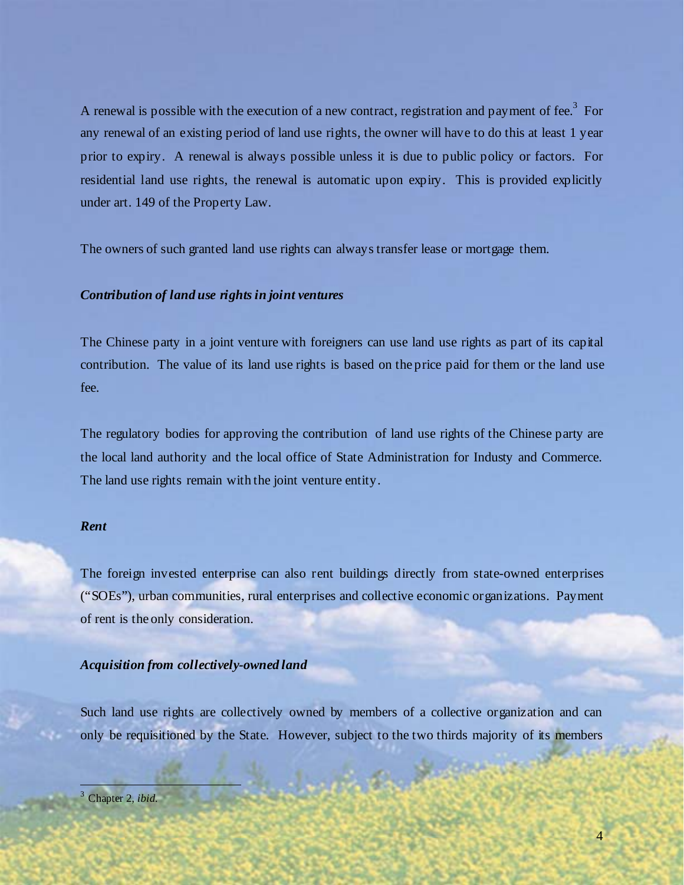A renewal is possible with the execution of a new contract, registration and payment of fee.<sup>3</sup> For any renewal of an existing period of land use rights, the owner will have to do this at least 1 year prior to expiry. A renewal is always possible unless it is due to public policy or factors. For residential land use rights, the renewal is automatic upon expiry. This is provided explicitly under art. 149 of the Property Law.

The owners of such granted land use rights can always transfer lease or mortgage them.

## *Contribution of land use rights in joint ventures*

The Chinese party in a joint venture with foreigners can use land use rights as part of its capital contribution. The value of its land use rights is based on the price paid for them or the land use fee.

The regulatory bodies for approving the contribution of land use rights of the Chinese party are the local land authority and the local office of State Administration for Industy and Commerce. The land use rights remain with the joint venture entity.

### *Rent*

The foreign invested enterprise can also rent buildings directly from state-owned enterprises ("SOEs"), urban communities, rural enterprises and collective economic organizations. Payment of rent is the only consideration.

### *Acquisition from collectively-owned land*

Such land use rights are collectively owned by members of a collective organization and can only be requisitioned by the State. However, subject to the two thirds majority of its members

l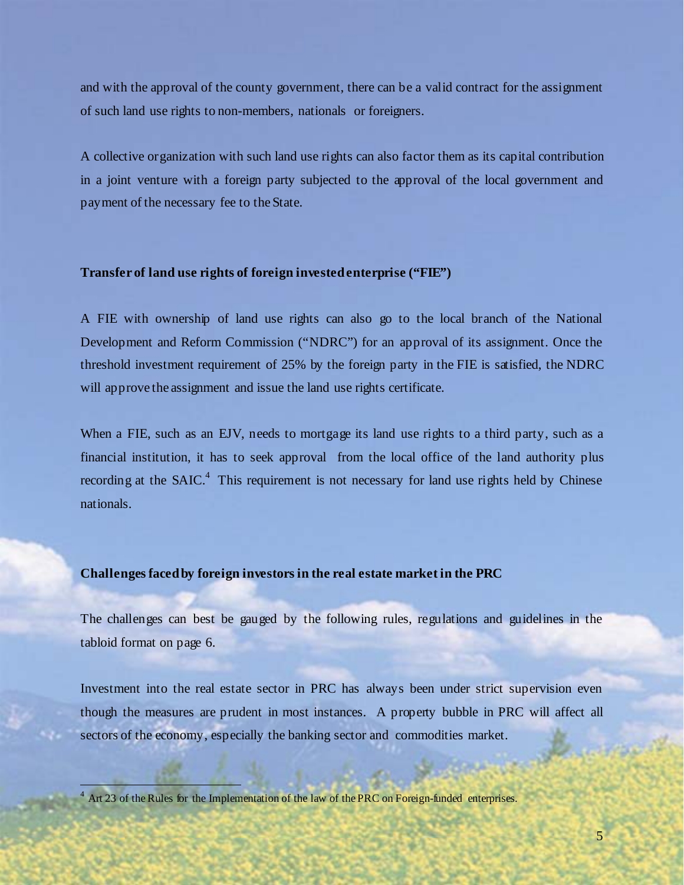and with the approval of the county government, there can be a valid contract for the assignment of such land use rights to non-members, nationals or foreigners.

A collective organization with such land use rights can also factor them as its capital contribution in a joint venture with a foreign party subjected to the approval of the local government and payment of the necessary fee to the State.

### **Transfer of land use rights of foreign invested enterprise ("FIE")**

A FIE with ownership of land use rights can also go to the local branch of the National Development and Reform Commission ("NDRC") for an approval of its assignment. Once the threshold investment requirement of 25% by the foreign party in the FIE is satisfied, the NDRC will approve the assignment and issue the land use rights certificate.

When a FIE, such as an EJV, needs to mortgage its land use rights to a third party, such as a financial institution, it has to seek approval from the local office of the land authority plus recording at the  $S AIC<sup>4</sup>$ . This requirement is not necessary for land use rights held by Chinese nationals.

### **Challenges faced by foreign investors in the real estate market in the PRC**

The challenges can best be gauged by the following rules, regulations and guidelines in the tabloid format on page 6.

Investment into the real estate sector in PRC has always been under strict supervision even though the measures are prudent in most instances. A property bubble in PRC will affect all sectors of the economy, especially the banking sector and commodities market.

 $\overline{a}$ 

<sup>4</sup> Art 23 of the Rules for the Implementation of the law of the PRC on Foreign-funded enterprises.